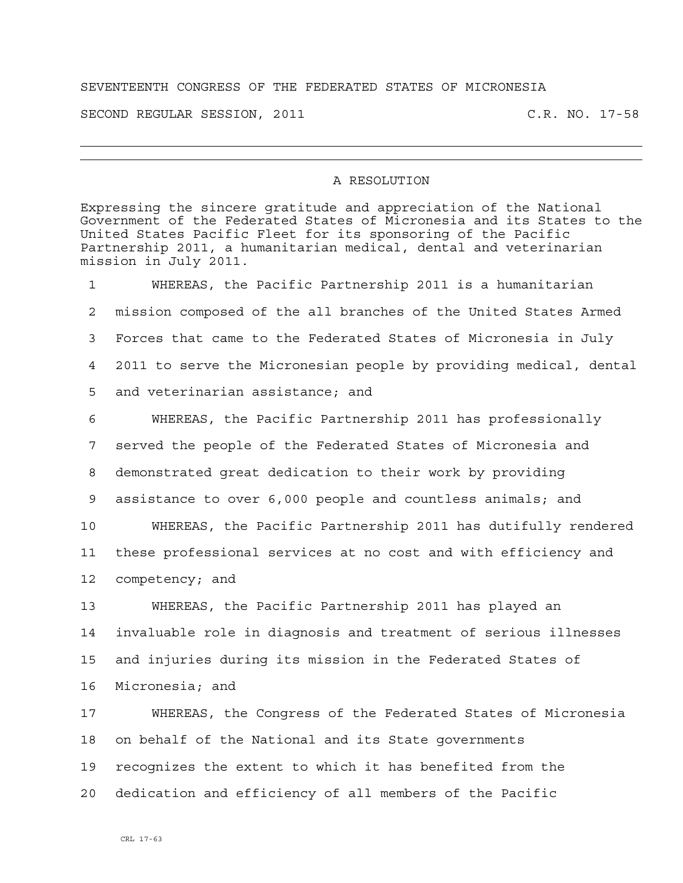## SEVENTEENTH CONGRESS OF THE FEDERATED STATES OF MICRONESIA

SECOND REGULAR SESSION, 2011 C.R. NO. 17-58

## A RESOLUTION

Expressing the sincere gratitude and appreciation of the National Government of the Federated States of Micronesia and its States to the United States Pacific Fleet for its sponsoring of the Pacific Partnership 2011, a humanitarian medical, dental and veterinarian mission in July 2011.

1 WHEREAS, the Pacific Partnership 2011 is a humanitarian 2 mission composed of the all branches of the United States Armed 3 Forces that came to the Federated States of Micronesia in July 4 2011 to serve the Micronesian people by providing medical, dental 5 and veterinarian assistance; and 6 WHEREAS, the Pacific Partnership 2011 has professionally 7 served the people of the Federated States of Micronesia and 8 demonstrated great dedication to their work by providing 9 assistance to over 6,000 people and countless animals; and 10 WHEREAS, the Pacific Partnership 2011 has dutifully rendered 11 these professional services at no cost and with efficiency and 12 competency; and 13 WHEREAS, the Pacific Partnership 2011 has played an 14 invaluable role in diagnosis and treatment of serious illnesses 15 and injuries during its mission in the Federated States of 16 Micronesia; and 17 WHEREAS, the Congress of the Federated States of Micronesia 18 on behalf of the National and its State governments 19 recognizes the extent to which it has benefited from the

20 dedication and efficiency of all members of the Pacific

CRL 17-63